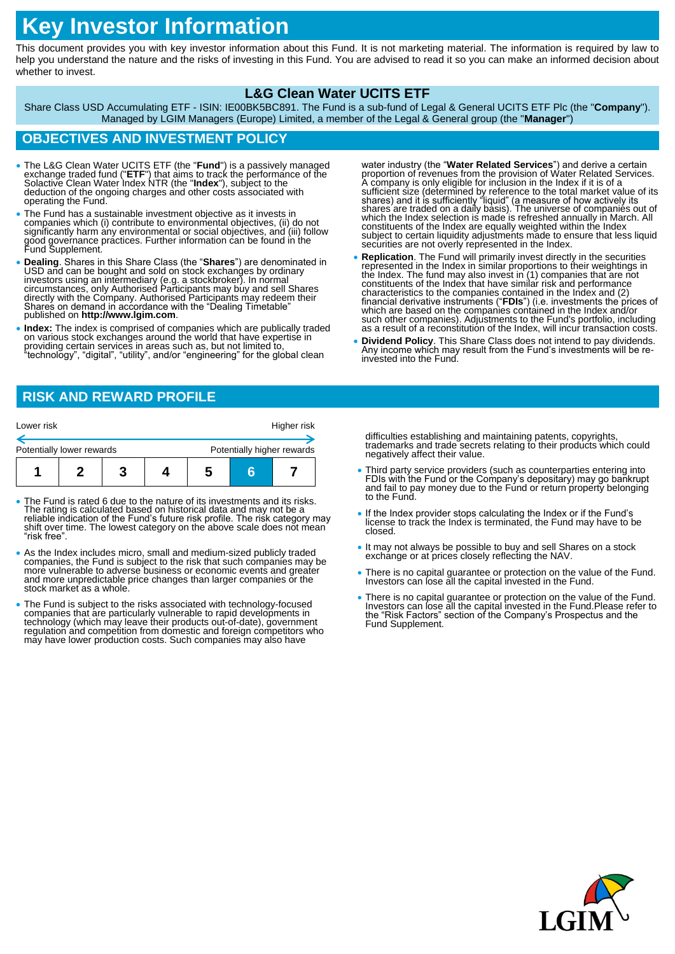# **Key Investor Information**

This document provides you with key investor information about this Fund. It is not marketing material. The information is required by law to help you understand the nature and the risks of investing in this Fund. You are advised to read it so you can make an informed decision about whether to invest.

### **L&G Clean Water UCITS ETF**

Share Class USD Accumulating ETF - ISIN: IE00BK5BC891. The Fund is a sub-fund of Legal & General UCITS ETF Plc (the "**Company**"). Managed by LGIM Managers (Europe) Limited, a member of the Legal & General group (the "**Manager**")

## **OBJECTIVES AND INVESTMENT POLICY**

- The L&G Clean Water UCITS ETF (the "**Fund**") is a passively managed exchange traded fund ("**ETF**") that aims to track the performance of the Solactive Clean Water Index NTR (the "**Index**"), subject to the deduction of the ongoing charges and other costs associated with<br>operating the Fund.
- The Fund has a sustainable investment objective as it invests in companies which (i) contribute to environmental objectives, (ii) do not significantly harm any environmental or social objectives, and (iii) follow good governance practices. Further information can be found in the Fund Supplement.
- **Dealing**. Shares in this Share Class (the "**Shares**") are denominated in USD and can be bought and sold on stock exchanges by ordinary investors using an intermediary (e.g. a stockbroker). In normal circumstances, only
- **Index:** The index is comprised of companies which are publically traded on various stock exchanges around the world that have expertise in providing certain services in areas such as, but not limited to, "technology", "digital", "utility", and/or "engineering" for the global clean

water industry (the "**Water Related Services**") and derive a certain proportion of revenues from the provision of Water Related Services. A company is only eligible for inclusion in the lndex if it is of a sufficient size constituents of the Index are equally weighted within the Index subject to certain liquidity adjustments made to ensure that less liquid securities are not overly represented in the Index.

- **Replication**. The Fund will primarily invest directly in the securities represented in the Index in similar proportions to their weightings in the Index. The fund may also invest in (1) companies that are not<br>constituents of the Index that have similar risk and performance<br>characteristics to the companies contained in the Index and (2)<br>financial derivative instru which are based on the companies contained in the Index and/or such other companies). Adjustments to the Fund's portfolio, including as a result of a reconstitution of the Index, will incur transaction costs.
- **Dividend Policy**. This Share Class does not intend to pay dividends. Any income which may result from the Fund's investments will be reinvested into the Fund.

# **RISK AND REWARD PROFILE**

| Lower risk                |  |  |  |                            |  | Higher risk |
|---------------------------|--|--|--|----------------------------|--|-------------|
| Potentially lower rewards |  |  |  | Potentially higher rewards |  |             |
|                           |  |  |  |                            |  |             |

- The Fund is rated 6 due to the nature of its investments and its risks.<br>The rating is calculated based on historical data and may not be a<br>reliable indication of the Fund's future risk profile. The risk category may<br>shif "risk free".
- As the Index includes micro, small and medium-sized publicly traded companies, the Fund is subject to the risk that such companies may be more vulnerable to adverse business or economic events and greater and more unpredictable price changes than larger companies or the stock market as a whole.
- The Fund is subject to the risks associated with technology-focused companies that are particularly vulnerable to rapid developments in technology (which may leave their products out-of-date), government regulation and competition from domestic and foreign competitors who<br>may have lower production costs. Such companies may also have

difficulties establishing and maintaining patents, copyrights, trademarks and trade secrets relating to their products which could negatively affect their value.

- Third party service providers (such as counterparties entering into FDIs with the Fund or the Company's depositary) may go bankrupt and fail to pay money due to the Fund or return property belonging to the Fund.
- If the Index provider stops calculating the Index or if the Fund's license to track the Index is terminated, the Fund may have to be closed.
- It may not always be possible to buy and sell Shares on a stock exchange or at prices closely reflecting the NAV.
- There is no capital guarantee or protection on the value of the Fund. Investors can lose all the capital invested in the Fund.
- There is no capital guarantee or protection on the value of the Fund. Investors can lose all the capital invested in the Fund.Please refer to the "Risk Factors" section of the Company's Prospectus and the Fund Supplement.